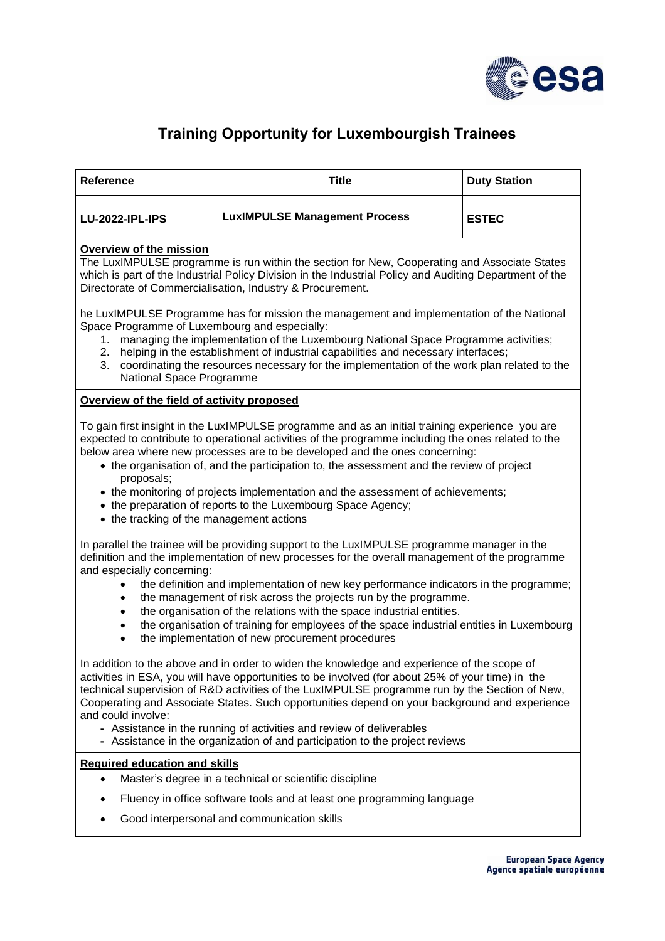

## **Training Opportunity for Luxembourgish Trainees**

| <b>Reference</b>                                                                                                                                                                                                                                                                                                                                                                                                                                                                                                                                                                                                                                                        | <b>Title</b>                         | <b>Duty Station</b> |
|-------------------------------------------------------------------------------------------------------------------------------------------------------------------------------------------------------------------------------------------------------------------------------------------------------------------------------------------------------------------------------------------------------------------------------------------------------------------------------------------------------------------------------------------------------------------------------------------------------------------------------------------------------------------------|--------------------------------------|---------------------|
| <b>LU-2022-IPL-IPS</b>                                                                                                                                                                                                                                                                                                                                                                                                                                                                                                                                                                                                                                                  | <b>LuxIMPULSE Management Process</b> | <b>ESTEC</b>        |
| Overview of the mission<br>The LuxIMPULSE programme is run within the section for New, Cooperating and Associate States<br>which is part of the Industrial Policy Division in the Industrial Policy and Auditing Department of the<br>Directorate of Commercialisation, Industry & Procurement.                                                                                                                                                                                                                                                                                                                                                                         |                                      |                     |
| he LuxIMPULSE Programme has for mission the management and implementation of the National<br>Space Programme of Luxembourg and especially:<br>managing the implementation of the Luxembourg National Space Programme activities;<br>1.<br>helping in the establishment of industrial capabilities and necessary interfaces;<br>2.<br>coordinating the resources necessary for the implementation of the work plan related to the<br>3.<br>National Space Programme                                                                                                                                                                                                      |                                      |                     |
| Overview of the field of activity proposed                                                                                                                                                                                                                                                                                                                                                                                                                                                                                                                                                                                                                              |                                      |                     |
| To gain first insight in the LuxIMPULSE programme and as an initial training experience you are<br>expected to contribute to operational activities of the programme including the ones related to the<br>below area where new processes are to be developed and the ones concerning:<br>• the organisation of, and the participation to, the assessment and the review of project<br>proposals;<br>• the monitoring of projects implementation and the assessment of achievements;<br>• the preparation of reports to the Luxembourg Space Agency;<br>• the tracking of the management actions                                                                         |                                      |                     |
| In parallel the trainee will be providing support to the LuxIMPULSE programme manager in the<br>definition and the implementation of new processes for the overall management of the programme<br>and especially concerning:<br>the definition and implementation of new key performance indicators in the programme;<br>the management of risk across the projects run by the programme.<br>$\bullet$<br>the organisation of the relations with the space industrial entities.<br>$\bullet$<br>the organisation of training for employees of the space industrial entities in Luxembourg<br>$\bullet$<br>the implementation of new procurement procedures<br>$\bullet$ |                                      |                     |
| In addition to the above and in order to widen the knowledge and experience of the scope of<br>activities in ESA, you will have opportunities to be involved (for about 25% of your time) in the<br>technical supervision of R&D activities of the LuxIMPULSE programme run by the Section of New,<br>Cooperating and Associate States. Such opportunities depend on your background and experience<br>and could involve:<br>- Assistance in the running of activities and review of deliverables<br>- Assistance in the organization of and participation to the project reviews                                                                                       |                                      |                     |
| <b>Required education and skills</b>                                                                                                                                                                                                                                                                                                                                                                                                                                                                                                                                                                                                                                    |                                      |                     |
| Master's degree in a technical or scientific discipline<br>$\bullet$<br>Fluency in office software tools and at least one programming language<br>٠                                                                                                                                                                                                                                                                                                                                                                                                                                                                                                                     |                                      |                     |
| Good interpersonal and communication skills<br>٠                                                                                                                                                                                                                                                                                                                                                                                                                                                                                                                                                                                                                        |                                      |                     |